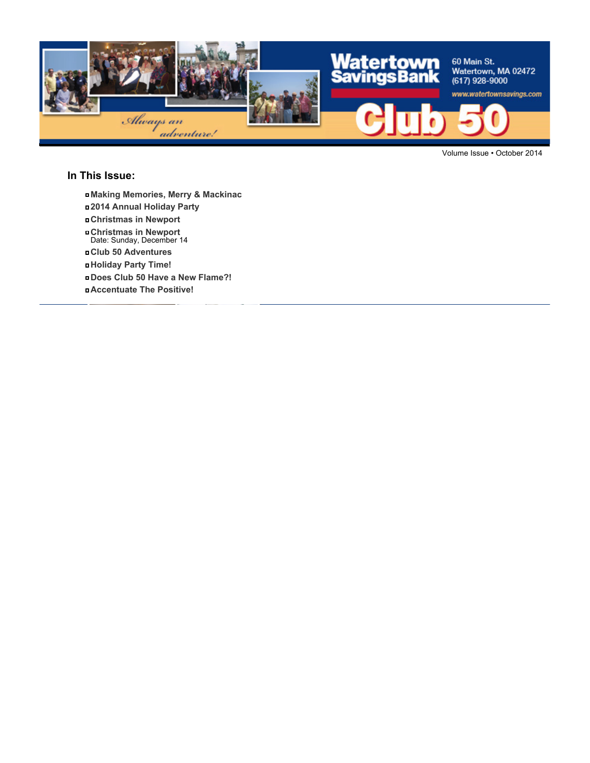

Volume Issue • October 2014

### **In This Issue:**

- **Making Memories, Merry & Mackinac**
- **2014 Annual Holiday Party**
- **Christmas in Newport**
- **Christmas in Newport** Date: Sunday, December 14
- **Club 50 Adventures**
- **Holiday Party Time!**
- **Does Club 50 Have a New Flame?!**
- **Accentuate The Positive!**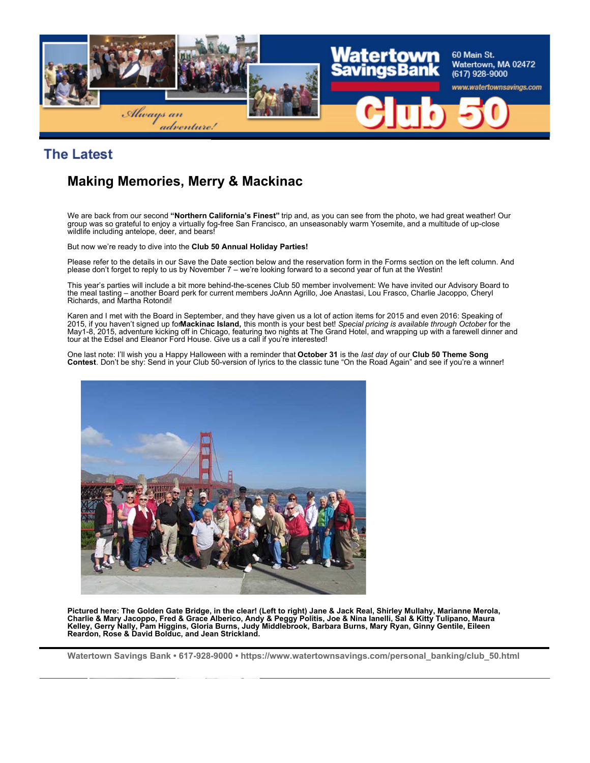

### **The Latest**

## **Making Memories, Merry & Mackinac**

We are back from our second **"Northern California's Finest"** trip and, as you can see from the photo, we had great weather! Our group was so grateful to enjoy a virtually fog-free San Francisco, an unseasonably warm Yosemite, and a multitude of up-close wildlife including antelope, deer, and bears!

But now we're ready to dive into the **Club 50 Annual Holiday Parties!**

Please refer to the details in our Save the Date section below and the reservation form in the Forms section on the left column. And please don't forget to reply to us by November 7 – we're looking forward to a second year of fun at the Westin!

This year's parties will include a bit more behind-the-scenes Club 50 member involvement: We have invited our Advisory Board to the meal tasting – another Board perk for current members JoAnn Agrillo, Joe Anastasi, Lou Frasco, Charlie Jacoppo, Cheryl Richards, and Martha Rotondi!

Karen and I met with the Board in September, and they have given us a lot of action items for 2015 and even 2016: Speaking of<br>2015, if you haven't signed up for**Mackinac Island,** this month is your best bet! *Special prici* May1-8, 2015, adventure kicking off in Chicago, featuring two nights at The Grand Hotel, and wrapping up with a farewell dinner and tour at the Edsel and Eleanor Ford House. Give us a call if you're interested!

One last note: I'll wish you a Happy Halloween with a reminder that **October 31** is the *last day* of our **Club 50 Theme Song Contest**. Don't be shy: Send in your Club 50-version of lyrics to the classic tune "On the Road Again" and see if you're a winner!



**Pictured here: The Golden Gate Bridge, in the clear! (Left to right) Jane & Jack Real, Shirley Mullahy, Marianne Merola, Charlie & Mary Jacoppo, Fred & Grace Alberico, Andy & Peggy Politis, Joe & Nina Ianelli, Sal & Kitty Tulipano, Maura Kelley, Gerry Nally, Pam Higgins, Gloria Burns, Judy Middlebrook, Barbara Burns, Mary Ryan, Ginny Gentile, Eileen Reardon, Rose & David Bolduc, and Jean Strickland.**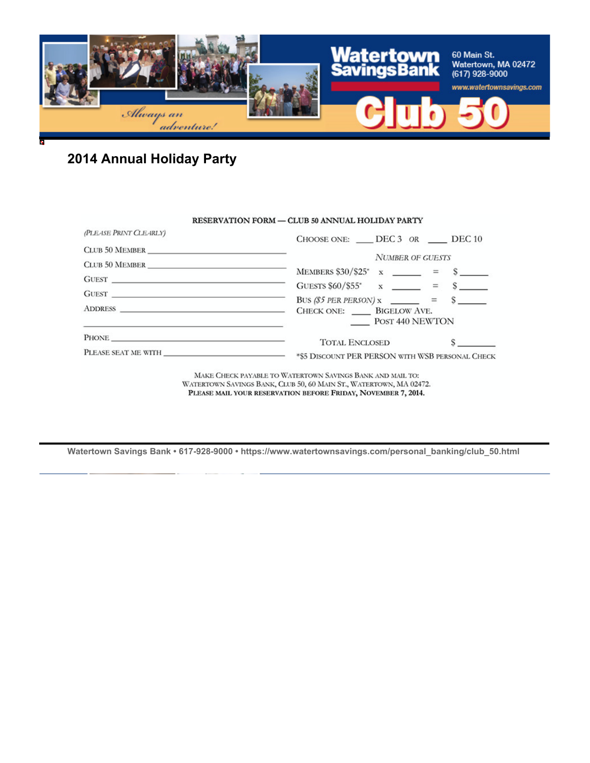

# **2014 Annual Holiday Party**

### RESERVATION FORM - CLUB 50 ANNUAL HOLIDAY PARTY

| (PLEASE PRINT CLEARLY)                                                                                                                                                                                                         | CHOOSE ONE: ___ DEC 3 OR ___ DEC 10                                                            |  |  |  |
|--------------------------------------------------------------------------------------------------------------------------------------------------------------------------------------------------------------------------------|------------------------------------------------------------------------------------------------|--|--|--|
|                                                                                                                                                                                                                                | <b>NUMBER OF GUESTS</b>                                                                        |  |  |  |
| CLUB 50 MEMBER                                                                                                                                                                                                                 |                                                                                                |  |  |  |
| $G \text{UEST} \underbrace{\hspace{1cm}}$                                                                                                                                                                                      | MEMBERS $$30/$25$ <sup>*</sup> x _____ = \$ ___                                                |  |  |  |
|                                                                                                                                                                                                                                | GUESTS $$60/\$55^*$ x _____ = \$ ____                                                          |  |  |  |
| GUEST PRESERVE THE RESIDENCE OF THE RESIDENCE OF THE RESIDENCE OF THE RESIDENCE OF THE RESIDENCE OF THE RESIDENCE OF THE RESIDENCE OF THE RESIDENCE OF THE RESIDENCE OF THE RESIDENCE OF THE RESIDENCE OF THE RESIDENCE OF THE | BUS (\$5 PER PERSON) $x \_$ = $\ s \_$                                                         |  |  |  |
| <u> 1980 - Andrea State Barbara, amerikan personal (h. 1980).</u>                                                                                                                                                              | POST 440 NEWTON                                                                                |  |  |  |
|                                                                                                                                                                                                                                | <b>TOTAL ENCLOSED</b>                                                                          |  |  |  |
|                                                                                                                                                                                                                                | PLEASE SEAT ME WITH _________________________ *\$5 DISCOUNT PER PERSON WITH WSB PERSONAL CHECK |  |  |  |
|                                                                                                                                                                                                                                | MAKE CHECK PAYABLE TO WATERTOWN SAVINGS BANK AND MAIL TO:                                      |  |  |  |

WATERTOWN SAVINGS BANK, CLUB 50, 60 MAIN ST., WATERTOWN, MA 02472. PLEASE MAIL YOUR RESERVATION BEFORE FRIDAY, NOVEMBER 7, 2014.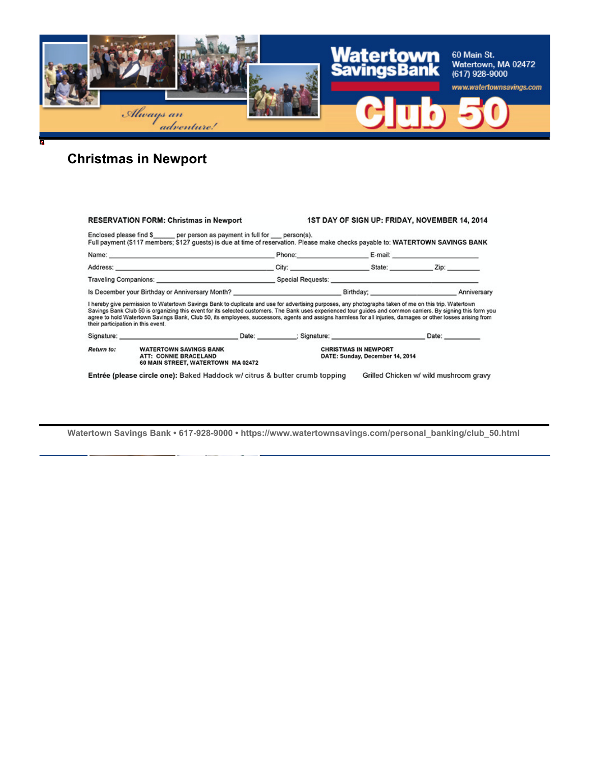

# **Christmas in Newport**

| <b>RESERVATION FORM: Christmas in Newport</b>                                                                      |                                                                                                                                                                                                                                                                                                                                                                                                                                                                                        |  | 1ST DAY OF SIGN UP: FRIDAY, NOVEMBER 14, 2014                                                                                                                                                                                  |                        |                                        |  |
|--------------------------------------------------------------------------------------------------------------------|----------------------------------------------------------------------------------------------------------------------------------------------------------------------------------------------------------------------------------------------------------------------------------------------------------------------------------------------------------------------------------------------------------------------------------------------------------------------------------------|--|--------------------------------------------------------------------------------------------------------------------------------------------------------------------------------------------------------------------------------|------------------------|----------------------------------------|--|
|                                                                                                                    | Enclosed please find \$_____ per person as payment in full for __ person(s).<br>Full payment (\$117 members; \$127 guests) is due at time of reservation. Please make checks payable to: WATERTOWN SAVINGS BANK                                                                                                                                                                                                                                                                        |  |                                                                                                                                                                                                                                |                        |                                        |  |
|                                                                                                                    |                                                                                                                                                                                                                                                                                                                                                                                                                                                                                        |  |                                                                                                                                                                                                                                | Phone: E-mail: E-mail: |                                        |  |
|                                                                                                                    |                                                                                                                                                                                                                                                                                                                                                                                                                                                                                        |  |                                                                                                                                                                                                                                |                        |                                        |  |
|                                                                                                                    |                                                                                                                                                                                                                                                                                                                                                                                                                                                                                        |  | Traveling Companions: Note and Second Second Second Second Second Second Second Second Second Second Second Second Second Second Second Second Second Second Second Second Second Second Second Second Second Second Second Se |                        |                                        |  |
| Is December your Birthday or Anniversary Month? Note and the Control of Birthday; Note and Supervisory Anniversary |                                                                                                                                                                                                                                                                                                                                                                                                                                                                                        |  |                                                                                                                                                                                                                                |                        |                                        |  |
| their participation in this event.                                                                                 | I hereby give permission to Watertown Savings Bank to duplicate and use for advertising purposes, any photographs taken of me on this trip. Watertown<br>Savings Bank Club 50 is organizing this event for its selected customers. The Bank uses experienced tour guides and common carriers. By signing this form you<br>agree to hold Watertown Savings Bank, Club 50, its employees, successors, agents and assigns harmless for all injuries, damages or other losses arising from |  |                                                                                                                                                                                                                                |                        |                                        |  |
|                                                                                                                    | Signature: Date: Date: Date: Date: Signature: Signature: Date: Date: Date: Date: Date: Date: Date: Date: Date: Date: Date: Date: Date: Date: Date: Date: Date: Date: Date: Date: Date: Date: Date: Date: Date: Date: Date: Dat                                                                                                                                                                                                                                                         |  |                                                                                                                                                                                                                                |                        |                                        |  |
| Return to:                                                                                                         | <b>WATERTOWN SAVINGS BANK</b><br>ATT: CONNIE BRACELAND<br>60 MAIN STREET, WATERTOWN MA 02472                                                                                                                                                                                                                                                                                                                                                                                           |  | <b>CHRISTMAS IN NEWPORT</b><br>DATE: Sunday, December 14, 2014                                                                                                                                                                 |                        |                                        |  |
|                                                                                                                    | Entrée (please circle one): Baked Haddock w/ citrus & butter crumb topping                                                                                                                                                                                                                                                                                                                                                                                                             |  |                                                                                                                                                                                                                                |                        | Grilled Chicken w/ wild mushroom gravy |  |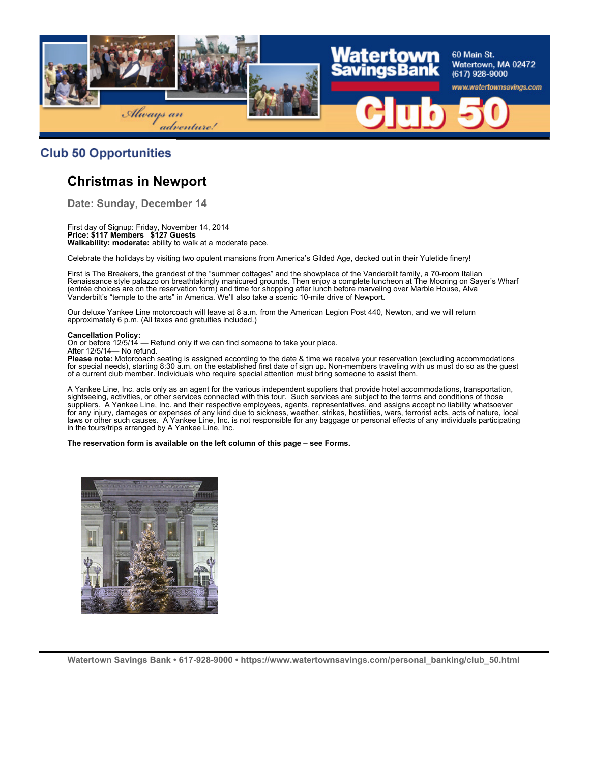

### **Club 50 Opportunities**

### **Christmas in Newport**

**Date: Sunday, December 14**

First day of Signup: Friday, November 14, 2014 **Price: \$117 Members \$127 Guests Walkability: moderate:** ability to walk at a moderate pace.

Celebrate the holidays by visiting two opulent mansions from America's Gilded Age, decked out in their Yuletide finery!

First is The Breakers, the grandest of the "summer cottages" and the showplace of the Vanderbilt family, a 70-room Italian Renaissance style palazzo on breathtakingly manicured grounds. Then enjoy a complete luncheon at The Mooring on Sayer's Wharf (entrée choices are on the reservation form) and time for shopping after lunch before marveling over Marble House, Alva Vanderbilt's "temple to the arts" in America. We'll also take a scenic 10-mile drive of Newport.

Our deluxe Yankee Line motorcoach will leave at 8 a.m. from the American Legion Post 440, Newton, and we will return approximately 6 p.m. (All taxes and gratuities included.)

#### **Cancellation Policy:**

On or before 12/5/14 — Refund only if we can find someone to take your place.

After 12/5/14— No refund.

**Please note:** Motorcoach seating is assigned according to the date & time we receive your reservation (excluding accommodations for special needs), starting 8:30 a.m. on the established first date of sign up. Non-members traveling with us must do so as the guest of a current club member. Individuals who require special attention must bring someone to assist them.

A Yankee Line, Inc. acts only as an agent for the various independent suppliers that provide hotel accommodations, transportation, sightseeing, activities, or other services connected with this tour. Such services are subject to the terms and conditions of those suppliers. A Yankee Line, Inc. and their respective employees, agents, representatives, and assigns accept no liability whatsoever for any injury, damages or expenses of any kind due to sickness, weather, strikes, hostilities, wars, terrorist acts, acts of nature, local laws or other such causes. A Yankee Line, Inc. is not responsible for any baggage or personal effects of any individuals participating in the tours/trips arranged by A Yankee Line, Inc.

#### **The reservation form is available on the left column of this page – see Forms.**

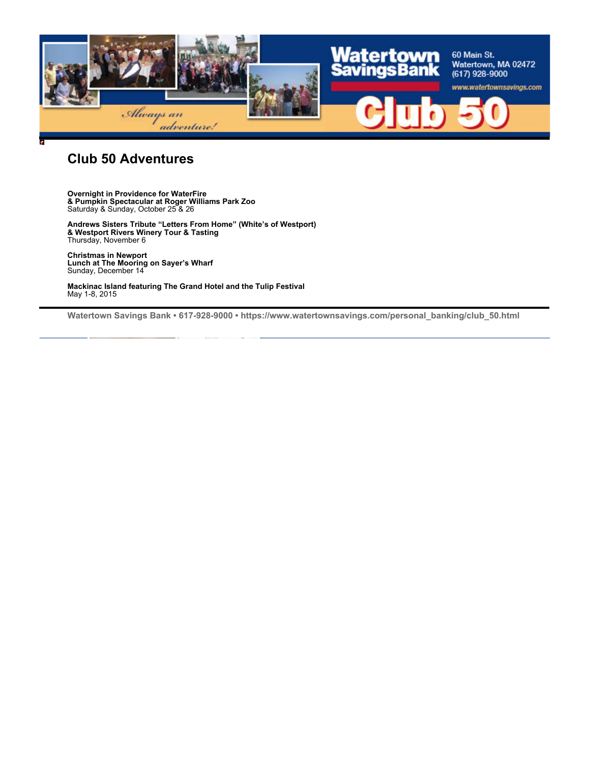

### **Club 50 Adventures**

**Overnight in Providence for WaterFire & Pumpkin Spectacular at Roger Williams Park Zoo** Saturday & Sunday, October 25 & 26

**Andrews Sisters Tribute "Letters From Home" (White's of Westport) & Westport Rivers Winery Tour & Tasting** Thursday, November 6

**Christmas in Newport Lunch at The Mooring on Sayer's Wharf** Sunday, December 14

**Mackinac Island featuring The Grand Hotel and the Tulip Festival** May 1-8, 2015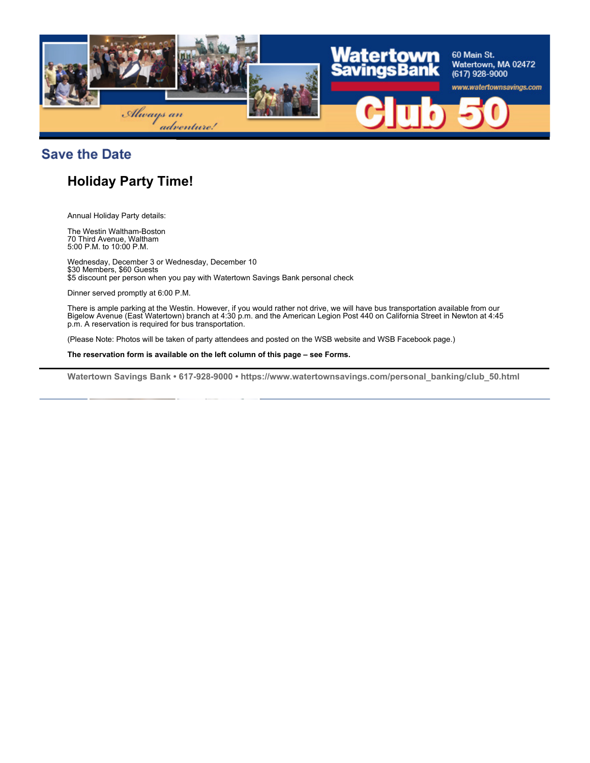

**Save the Date** 

# **Holiday Party Time!**

Annual Holiday Party details:

The Westin Waltham-Boston 70 Third Avenue, Waltham 5:00 P.M. to 10:00 P.M.

Wednesday, December 3 or Wednesday, December 10 \$30 Members, \$60 Guests \$5 discount per person when you pay with Watertown Savings Bank personal check

Dinner served promptly at 6:00 P.M.

There is ample parking at the Westin. However, if you would rather not drive, we will have bus transportation available from our Bigelow Avenue (East Watertown) branch at 4:30 p.m. and the American Legion Post 440 on California Street in Newton at 4:45 p.m. A reservation is required for bus transportation.

(Please Note: Photos will be taken of party attendees and posted on the WSB website and WSB Facebook page.)

**The reservation form is available on the left column of this page – see Forms.**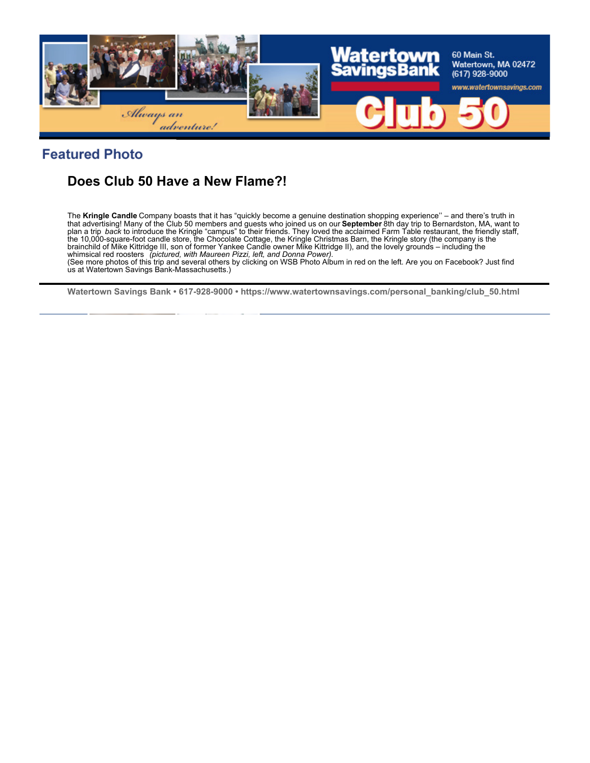

## **Featured Photo**

## **Does Club 50 Have a New Flame?!**

The **Kringle Candle** Company boasts that it has "quickly become a genuine destination shopping experience'' – and there's truth in that advertising! Many of the Club 50 members and guests who joined us on our **September** 8th day trip to Bernardston, MA, want to<br>plan a trip *back* to introduce the Kringle "campus" to their friends. They loved the accla the 10,000-square-foot candle store, the Chocolate Cottage, the Kringle Christmas Barn, the Kringle story (the company is the brainchild of Mike Kittridge III, son of former Yankee Candle owner Mike Kittridge II), and the lovely grounds – including the<br>whimsical red roosters *(pictured, with Maureen Pizzi, left, and Donna Power).* 

(See more photos of this trip and several others by clicking on WSB Photo Album in red on the left. Are you on Facebook? Just find us at Watertown Savings Bank-Massachusetts.)